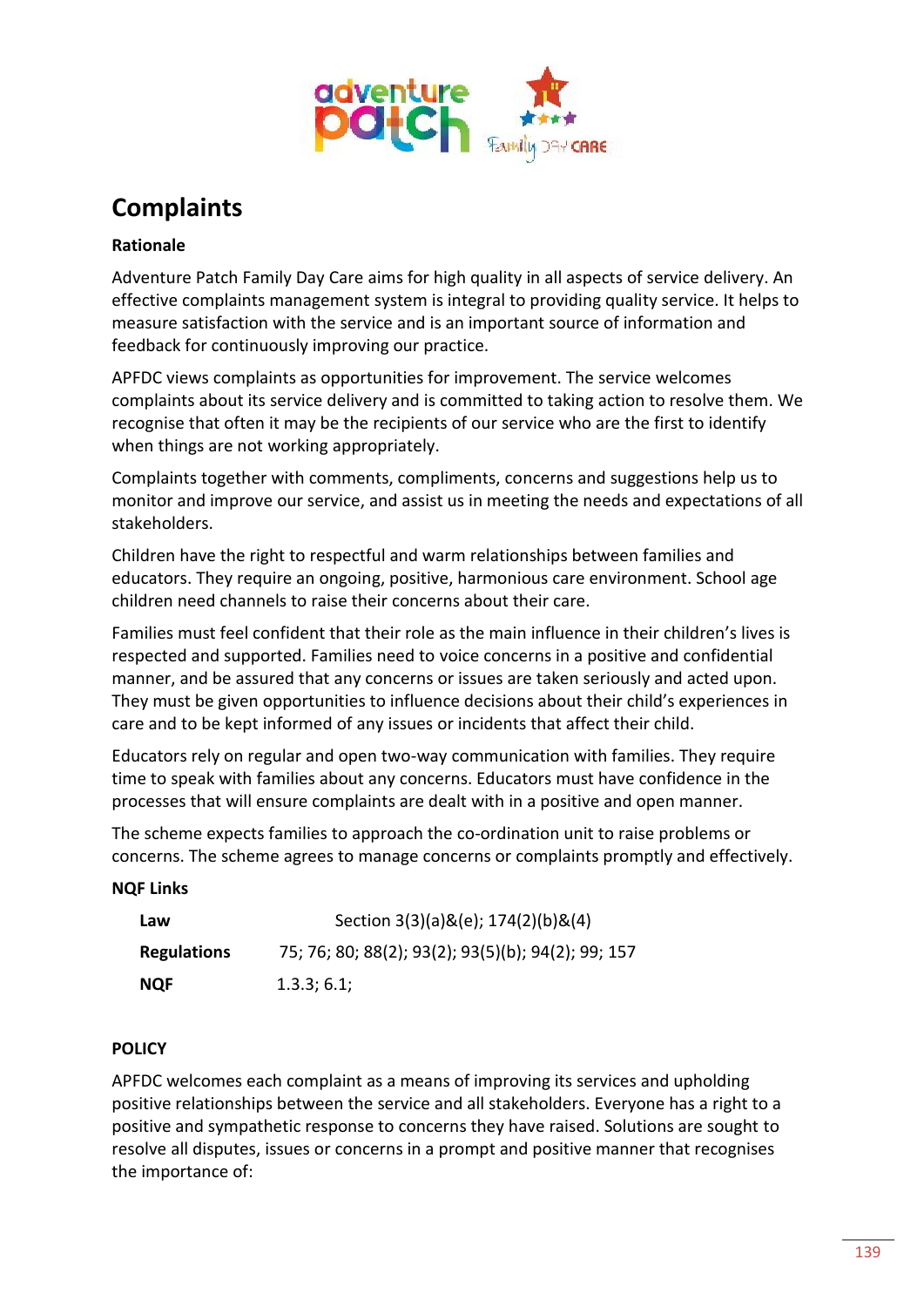

# **Complaints**

# **Rationale**

Adventure Patch Family Day Care aims for high quality in all aspects of service delivery. An effective complaints management system is integral to providing quality service. It helps to measure satisfaction with the service and is an important source of information and feedback for continuously improving our practice.

APFDC views complaints as opportunities for improvement. The service welcomes complaints about its service delivery and is committed to taking action to resolve them. We recognise that often it may be the recipients of our service who are the first to identify when things are not working appropriately.

Complaints together with comments, compliments, concerns and suggestions help us to monitor and improve our service, and assist us in meeting the needs and expectations of all stakeholders.

Children have the right to respectful and warm relationships between families and educators. They require an ongoing, positive, harmonious care environment. School age children need channels to raise their concerns about their care.

Families must feel confident that their role as the main influence in their children's lives is respected and supported. Families need to voice concerns in a positive and confidential manner, and be assured that any concerns or issues are taken seriously and acted upon. They must be given opportunities to influence decisions about their child's experiences in care and to be kept informed of any issues or incidents that affect their child.

Educators rely on regular and open two-way communication with families. They require time to speak with families about any concerns. Educators must have confidence in the processes that will ensure complaints are dealt with in a positive and open manner.

The scheme expects families to approach the co-ordination unit to raise problems or concerns. The scheme agrees to manage concerns or complaints promptly and effectively.

## **NQF Links**

| Law                | Section 3(3)(a)&(e); 174(2)(b)&(4)                 |
|--------------------|----------------------------------------------------|
| <b>Regulations</b> | 75; 76; 80; 88(2); 93(2); 93(5)(b); 94(2); 99; 157 |
| <b>NQF</b>         | 1.3.3; 6.1;                                        |

## **POLICY**

APFDC welcomes each complaint as a means of improving its services and upholding positive relationships between the service and all stakeholders. Everyone has a right to a positive and sympathetic response to concerns they have raised. Solutions are sought to resolve all disputes, issues or concerns in a prompt and positive manner that recognises the importance of: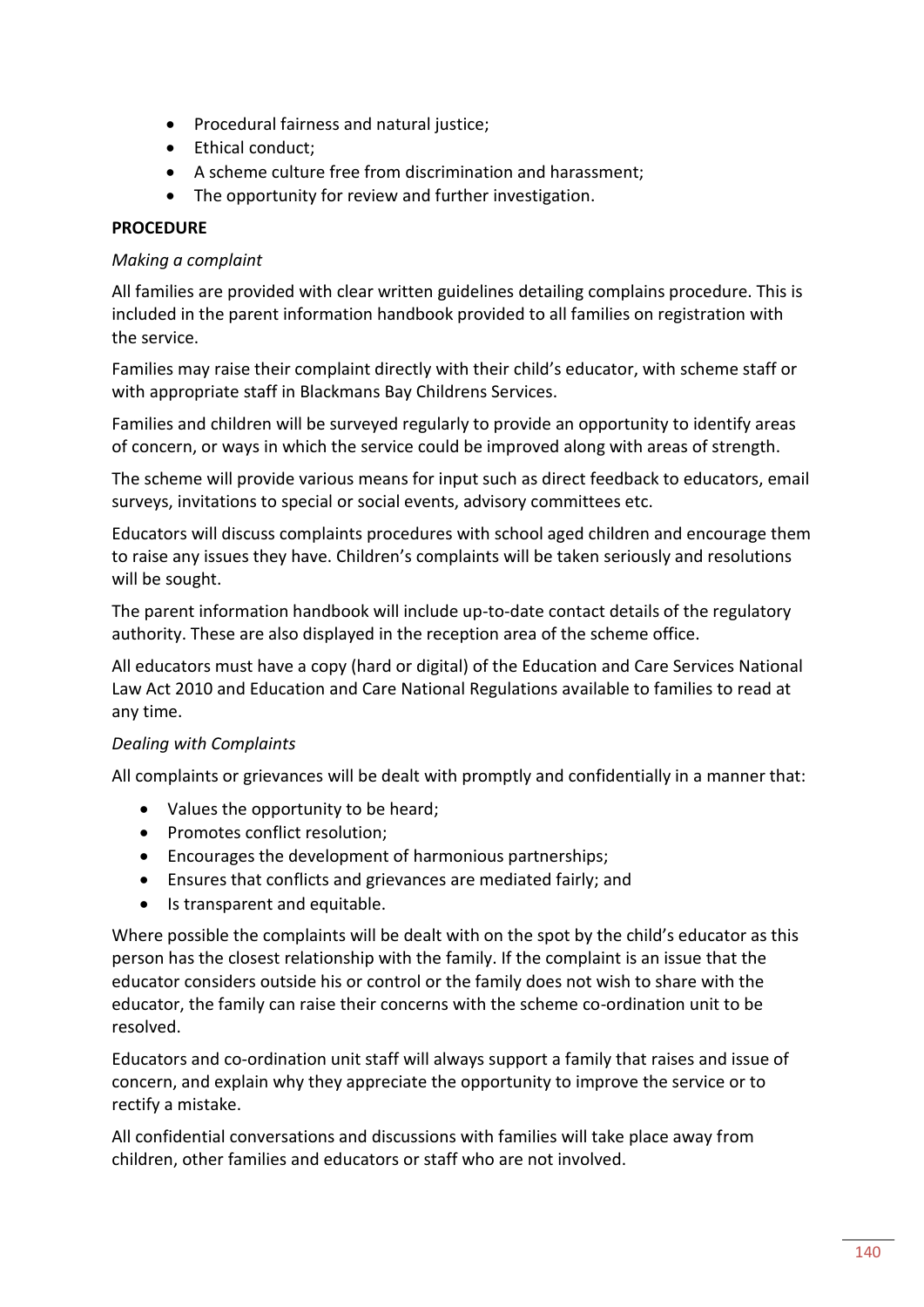- Procedural fairness and natural justice;
- Ethical conduct:
- A scheme culture free from discrimination and harassment;
- The opportunity for review and further investigation.

## **PROCEDURE**

#### *Making a complaint*

All families are provided with clear written guidelines detailing complains procedure. This is included in the parent information handbook provided to all families on registration with the service.

Families may raise their complaint directly with their child's educator, with scheme staff or with appropriate staff in Blackmans Bay Childrens Services.

Families and children will be surveyed regularly to provide an opportunity to identify areas of concern, or ways in which the service could be improved along with areas of strength.

The scheme will provide various means for input such as direct feedback to educators, email surveys, invitations to special or social events, advisory committees etc.

Educators will discuss complaints procedures with school aged children and encourage them to raise any issues they have. Children's complaints will be taken seriously and resolutions will be sought.

The parent information handbook will include up-to-date contact details of the regulatory authority. These are also displayed in the reception area of the scheme office.

All educators must have a copy (hard or digital) of the Education and Care Services National Law Act 2010 and Education and Care National Regulations available to families to read at any time.

## *Dealing with Complaints*

All complaints or grievances will be dealt with promptly and confidentially in a manner that:

- Values the opportunity to be heard;
- Promotes conflict resolution;
- Encourages the development of harmonious partnerships;
- Ensures that conflicts and grievances are mediated fairly; and
- Is transparent and equitable.

Where possible the complaints will be dealt with on the spot by the child's educator as this person has the closest relationship with the family. If the complaint is an issue that the educator considers outside his or control or the family does not wish to share with the educator, the family can raise their concerns with the scheme co-ordination unit to be resolved.

Educators and co-ordination unit staff will always support a family that raises and issue of concern, and explain why they appreciate the opportunity to improve the service or to rectify a mistake.

All confidential conversations and discussions with families will take place away from children, other families and educators or staff who are not involved.